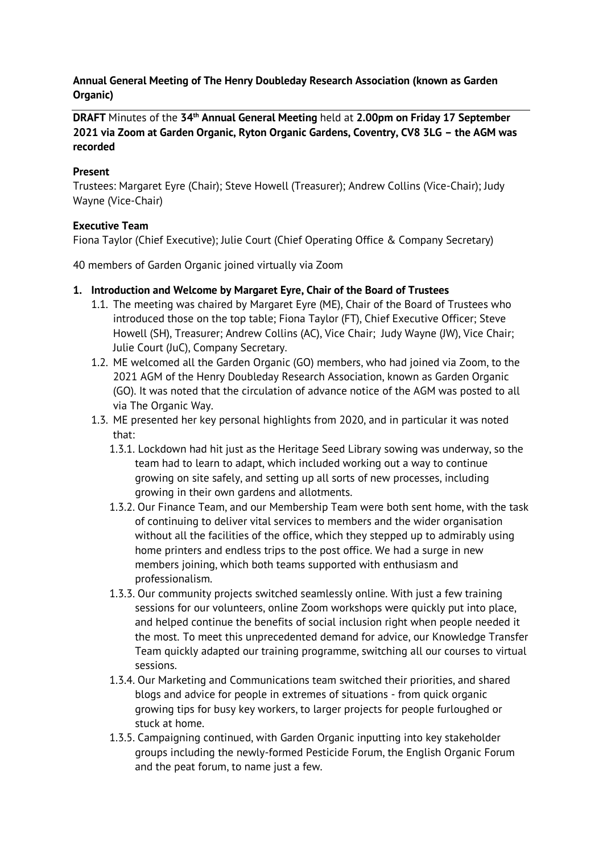#### **Annual General Meeting of The Henry Doubleday Research Association (known as Garden Organic)**

**DRAFT** Minutes of the **34th Annual General Meeting** held at **2.00pm on Friday 17 September 2021 via Zoom at Garden Organic, Ryton Organic Gardens, Coventry, CV8 3LG – the AGM was recorded**

#### **Present**

Trustees: Margaret Eyre (Chair); Steve Howell (Treasurer); Andrew Collins (Vice-Chair); Judy Wayne (Vice-Chair)

#### **Executive Team**

Fiona Taylor (Chief Executive); Julie Court (Chief Operating Office & Company Secretary)

40 members of Garden Organic joined virtually via Zoom

- **1. Introduction and Welcome by Margaret Eyre, Chair of the Board of Trustees** 
	- 1.1. The meeting was chaired by Margaret Eyre (ME), Chair of the Board of Trustees who introduced those on the top table; Fiona Taylor (FT), Chief Executive Officer; Steve Howell (SH), Treasurer; Andrew Collins (AC), Vice Chair; Judy Wayne (JW), Vice Chair; Julie Court (JuC), Company Secretary.
	- 1.2. ME welcomed all the Garden Organic (GO) members, who had joined via Zoom, to the 2021 AGM of the Henry Doubleday Research Association, known as Garden Organic (GO). It was noted that the circulation of advance notice of the AGM was posted to all via The Organic Way.
	- 1.3. ME presented her key personal highlights from 2020, and in particular it was noted that:
		- 1.3.1. Lockdown had hit just as the Heritage Seed Library sowing was underway, so the team had to learn to adapt, which included working out a way to continue growing on site safely, and setting up all sorts of new processes, including growing in their own gardens and allotments.
		- 1.3.2. Our Finance Team, and our Membership Team were both sent home, with the task of continuing to deliver vital services to members and the wider organisation without all the facilities of the office, which they stepped up to admirably using home printers and endless trips to the post office. We had a surge in new members joining, which both teams supported with enthusiasm and professionalism.
		- 1.3.3. Our community projects switched seamlessly online. With just a few training sessions for our volunteers, online Zoom workshops were quickly put into place, and helped continue the benefits of social inclusion right when people needed it the most. To meet this unprecedented demand for advice, our Knowledge Transfer Team quickly adapted our training programme, switching all our courses to virtual sessions.
		- 1.3.4. Our Marketing and Communications team switched their priorities, and shared blogs and advice for people in extremes of situations - from quick organic growing tips for busy key workers, to larger projects for people furloughed or stuck at home.
		- 1.3.5. Campaigning continued, with Garden Organic inputting into key stakeholder groups including the newly-formed Pesticide Forum, the English Organic Forum and the peat forum, to name just a few.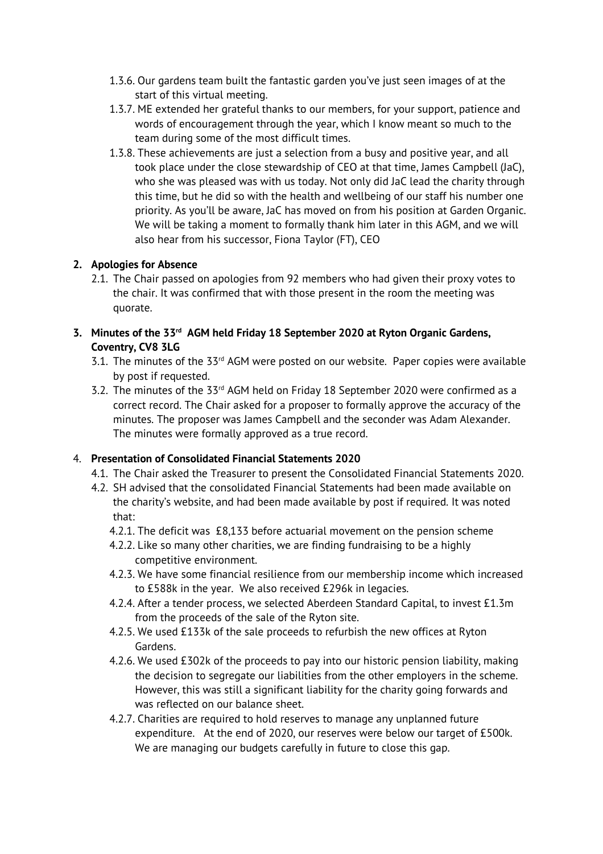- 1.3.6. Our gardens team built the fantastic garden you've just seen images of at the start of this virtual meeting.
- 1.3.7. ME extended her grateful thanks to our members, for your support, patience and words of encouragement through the year, which I know meant so much to the team during some of the most difficult times.
- 1.3.8. These achievements are just a selection from a busy and positive year, and all took place under the close stewardship of CEO at that time, James Campbell (JaC), who she was pleased was with us today. Not only did JaC lead the charity through this time, but he did so with the health and wellbeing of our staff his number one priority. As you'll be aware, JaC has moved on from his position at Garden Organic. We will be taking a moment to formally thank him later in this AGM, and we will also hear from his successor, Fiona Taylor (FT), CEO

# **2. Apologies for Absence**

- 2.1. The Chair passed on apologies from 92 members who had given their proxy votes to the chair. It was confirmed that with those present in the room the meeting was quorate.
- **3. Minutes of the 33rd AGM held Friday 18 September 2020 at Ryton Organic Gardens, Coventry, CV8 3LG** 
	- $3.1$ . The minutes of the  $33<sup>rd</sup>$  AGM were posted on our website. Paper copies were available by post if requested.
	- 3.2. The minutes of the 33rd AGM held on Friday 18 September 2020 were confirmed as a correct record. The Chair asked for a proposer to formally approve the accuracy of the minutes. The proposer was James Campbell and the seconder was Adam Alexander. The minutes were formally approved as a true record.

## 4. **Presentation of Consolidated Financial Statements 2020**

- 4.1. The Chair asked the Treasurer to present the Consolidated Financial Statements 2020.
- 4.2. SH advised that the consolidated Financial Statements had been made available on the charity's website, and had been made available by post if required. It was noted that:
	- 4.2.1. The deficit was £8,133 before actuarial movement on the pension scheme
	- 4.2.2. Like so many other charities, we are finding fundraising to be a highly competitive environment.
	- 4.2.3. We have some financial resilience from our membership income which increased to £588k in the year. We also received £296k in legacies.
	- 4.2.4. After a tender process, we selected Aberdeen Standard Capital, to invest £1.3m from the proceeds of the sale of the Ryton site.
	- 4.2.5. We used £133k of the sale proceeds to refurbish the new offices at Ryton Gardens.
	- 4.2.6. We used £302k of the proceeds to pay into our historic pension liability, making the decision to segregate our liabilities from the other employers in the scheme. However, this was still a significant liability for the charity going forwards and was reflected on our balance sheet.
	- 4.2.7. Charities are required to hold reserves to manage any unplanned future expenditure. At the end of 2020, our reserves were below our target of £500k. We are managing our budgets carefully in future to close this gap.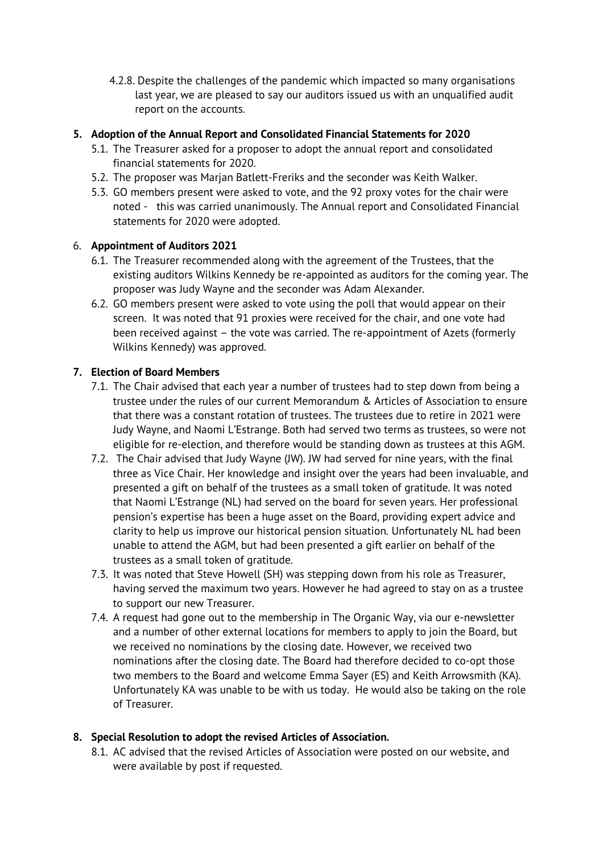4.2.8. Despite the challenges of the pandemic which impacted so many organisations last year, we are pleased to say our auditors issued us with an unqualified audit report on the accounts.

### **5. Adoption of the Annual Report and Consolidated Financial Statements for 2020**

- 5.1. The Treasurer asked for a proposer to adopt the annual report and consolidated financial statements for 2020.
- 5.2. The proposer was Marjan Batlett-Freriks and the seconder was Keith Walker.
- 5.3. GO members present were asked to vote, and the 92 proxy votes for the chair were noted - this was carried unanimously. The Annual report and Consolidated Financial statements for 2020 were adopted.

#### 6. **Appointment of Auditors 2021**

- 6.1. The Treasurer recommended along with the agreement of the Trustees, that the existing auditors Wilkins Kennedy be re-appointed as auditors for the coming year. The proposer was Judy Wayne and the seconder was Adam Alexander.
- 6.2. GO members present were asked to vote using the poll that would appear on their screen. It was noted that 91 proxies were received for the chair, and one vote had been received against – the vote was carried. The re-appointment of Azets (formerly Wilkins Kennedy) was approved.

#### **7. Election of Board Members**

- 7.1. The Chair advised that each year a number of trustees had to step down from being a trustee under the rules of our current Memorandum & Articles of Association to ensure that there was a constant rotation of trustees. The trustees due to retire in 2021 were Judy Wayne, and Naomi L'Estrange. Both had served two terms as trustees, so were not eligible for re-election, and therefore would be standing down as trustees at this AGM.
- 7.2. The Chair advised that Judy Wayne (JW). JW had served for nine years, with the final three as Vice Chair. Her knowledge and insight over the years had been invaluable, and presented a gift on behalf of the trustees as a small token of gratitude. It was noted that Naomi L'Estrange (NL) had served on the board for seven years. Her professional pension's expertise has been a huge asset on the Board, providing expert advice and clarity to help us improve our historical pension situation. Unfortunately NL had been unable to attend the AGM, but had been presented a gift earlier on behalf of the trustees as a small token of gratitude.
- 7.3. It was noted that Steve Howell (SH) was stepping down from his role as Treasurer, having served the maximum two years. However he had agreed to stay on as a trustee to support our new Treasurer.
- 7.4. A request had gone out to the membership in The Organic Way, via our e-newsletter and a number of other external locations for members to apply to join the Board, but we received no nominations by the closing date. However, we received two nominations after the closing date. The Board had therefore decided to co-opt those two members to the Board and welcome Emma Sayer (ES) and Keith Arrowsmith (KA). Unfortunately KA was unable to be with us today. He would also be taking on the role of Treasurer.

## **8. Special Resolution to adopt the revised Articles of Association.**

8.1. AC advised that the revised Articles of Association were posted on our website, and were available by post if requested.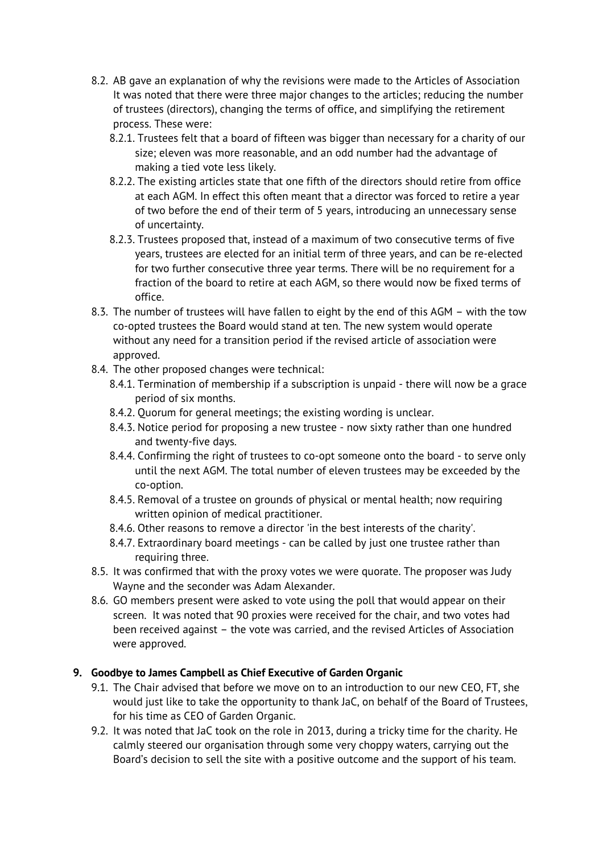- 8.2. AB gave an explanation of why the revisions were made to the Articles of Association It was noted that there were three major changes to the articles; reducing the number of trustees (directors), changing the terms of office, and simplifying the retirement process. These were:
	- 8.2.1. Trustees felt that a board of fifteen was bigger than necessary for a charity of our size; eleven was more reasonable, and an odd number had the advantage of making a tied vote less likely.
	- 8.2.2. The existing articles state that one fifth of the directors should retire from office at each AGM. In effect this often meant that a director was forced to retire a year of two before the end of their term of 5 years, introducing an unnecessary sense of uncertainty.
	- 8.2.3. Trustees proposed that, instead of a maximum of two consecutive terms of five years, trustees are elected for an initial term of three years, and can be re-elected for two further consecutive three year terms. There will be no requirement for a fraction of the board to retire at each AGM, so there would now be fixed terms of office.
- 8.3. The number of trustees will have fallen to eight by the end of this AGM with the tow co-opted trustees the Board would stand at ten. The new system would operate without any need for a transition period if the revised article of association were approved.
- 8.4. The other proposed changes were technical:
	- 8.4.1. Termination of membership if a subscription is unpaid there will now be a grace period of six months.
	- 8.4.2. Quorum for general meetings; the existing wording is unclear.
	- 8.4.3. Notice period for proposing a new trustee now sixty rather than one hundred and twenty-five days.
	- 8.4.4. Confirming the right of trustees to co-opt someone onto the board to serve only until the next AGM. The total number of eleven trustees may be exceeded by the co-option.
	- 8.4.5. Removal of a trustee on grounds of physical or mental health; now requiring written opinion of medical practitioner.
	- 8.4.6. Other reasons to remove a director 'in the best interests of the charity'.
	- 8.4.7. Extraordinary board meetings can be called by just one trustee rather than requiring three.
- 8.5. It was confirmed that with the proxy votes we were quorate. The proposer was Judy Wayne and the seconder was Adam Alexander.
- 8.6. GO members present were asked to vote using the poll that would appear on their screen. It was noted that 90 proxies were received for the chair, and two votes had been received against – the vote was carried, and the revised Articles of Association were approved.

## **9. Goodbye to James Campbell as Chief Executive of Garden Organic**

- 9.1. The Chair advised that before we move on to an introduction to our new CEO, FT, she would just like to take the opportunity to thank JaC, on behalf of the Board of Trustees, for his time as CEO of Garden Organic.
- 9.2. It was noted that JaC took on the role in 2013, during a tricky time for the charity. He calmly steered our organisation through some very choppy waters, carrying out the Board's decision to sell the site with a positive outcome and the support of his team.